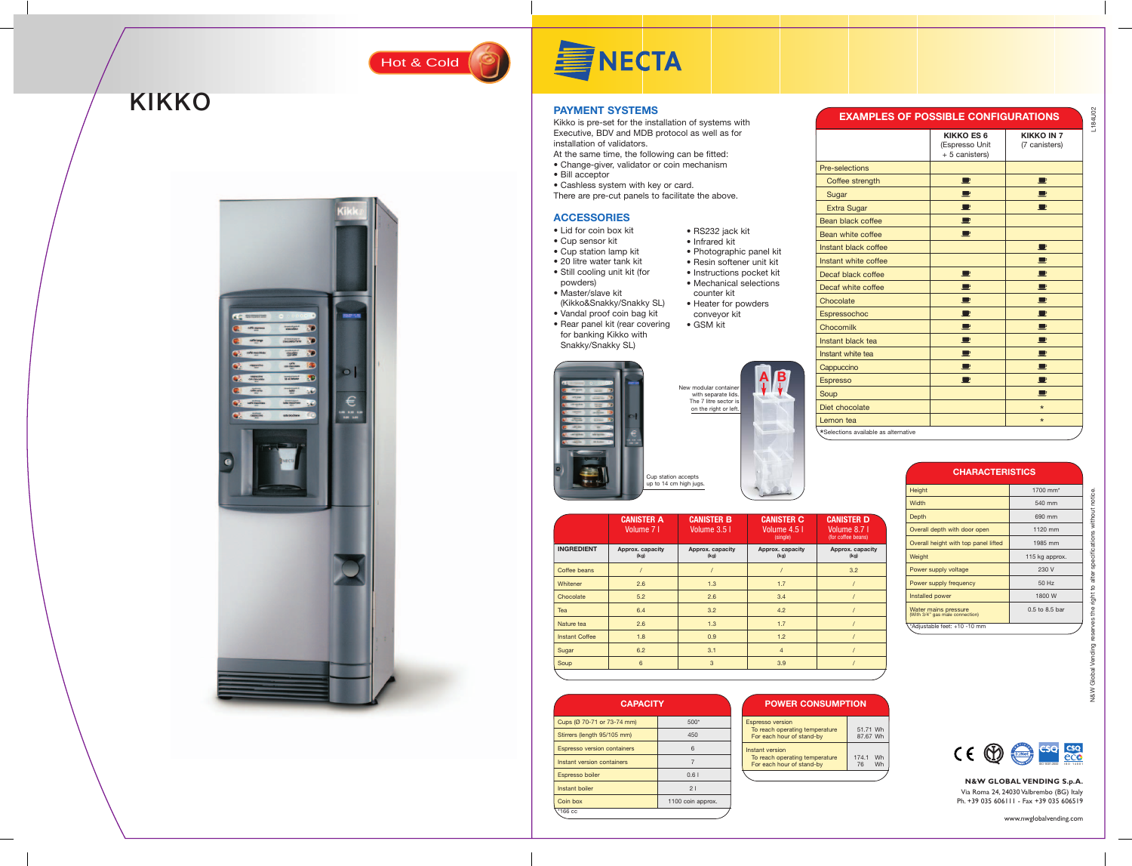### **PAYMENT SYSTEMS**

Kikko is pre-set for the installation of systems with Executive, BDV and MDB protocol as well as for installation of validators.

### N&W Global Vending reserves the right to alter specifications without notice. without specifications alter right to a  $\epsilon$ Global N&W

- At the same time, the following can be fitted:
- Change-giver, validator or coin mechanism
- Bill acceptor
- Cashless system with key or card.
- There are pre-cut panels to facilitate the above.

L184U02

### **N&W GLOBAL VENDING S.p.A.** Via Roma 24, 24030 Valbrembo (BG) Italy

Ph. +39 035 606111 - Fax +39 035 606519

www.nwglobalvending.com

Hot & Cold (9)

## **KIKKO**



# **SINECTA**



New modular container



Cup station accepts up to 14 cm high jugs.

#### **ACCESSORIES**

- **Cappuccino** Espresso Soup
- Diet chocolate
- 

 $\mathsf{A}$ **B**

- Lid for coin box kit
- Cup sensor kit
- Cup station lamp kit
- 20 litre water tank kit
- Still cooling unit kit (for
- powders) • Master/slave kit
- (Kikko&Snakky/Snakky SL)
- Vandal proof coin bag kit
- Rear panel kit (rear covering for banking Kikko with Snakky/Snakky SL)

• RS232 jack kit • Infrared kit



conveyor kit • GSM kit

- Instructions pocket kit
- Mechanical selections counter kit
	- **Chocolate**
- Heater for powders
- Espressochoc Chocomilk

| <b>EXAMPLES OF POSSIBLE CONFIGURATIONS</b> |                                                       |                                    |  |  |
|--------------------------------------------|-------------------------------------------------------|------------------------------------|--|--|
|                                            | <b>KIKKO ES 6</b><br>(Espresso Unit<br>+ 5 canisters) | <b>KIKKO IN 7</b><br>(7 canisters) |  |  |
| Pre-selections                             |                                                       |                                    |  |  |
| Coffee strength                            | $\blacksquare$                                        | ┖                                  |  |  |
| Sugar                                      | $\blacksquare$                                        |                                    |  |  |
| <b>Extra Sugar</b>                         | ш                                                     |                                    |  |  |
| <b>Bean black coffee</b>                   | P                                                     |                                    |  |  |
| Bean white coffee                          | $\blacksquare$                                        |                                    |  |  |
| Instant black coffee                       |                                                       | U                                  |  |  |
| Instant white coffee                       |                                                       | e                                  |  |  |
| Decaf black coffee                         | $\blacksquare$                                        | ш                                  |  |  |
| Decaf white coffee                         | ■                                                     | $\blacksquare$                     |  |  |
| Chocolate                                  | $\blacksquare$                                        | $\blacksquare$                     |  |  |
| Espressochoc                               | $\blacksquare$                                        | ₽                                  |  |  |
| Chocomilk                                  | $\blacksquare$                                        | $\blacksquare$                     |  |  |
| Instant black tea                          | $\blacksquare$                                        | Р                                  |  |  |
| Instant white tea                          | P                                                     | P                                  |  |  |
| Cappuccino                                 | $\blacksquare$                                        | 里                                  |  |  |
| <b>Espresso</b>                            | $\blacksquare$                                        | $\blacksquare$                     |  |  |
| Soup                                       |                                                       | $\Box$                             |  |  |
| Diet chocolate                             |                                                       | $\star$                            |  |  |
| Lemon tea                                  |                                                       | $\star$                            |  |  |
| Selections available as alternative        |                                                       |                                    |  |  |



**D**

|                       | <b>CANISTER A</b><br>Volume 7 I | <b>CANISTER B</b><br>Volume 3.5 I | <b>CANISTER C</b><br>Volume 4.5 I<br>(single) | <b>CANISTER D</b><br>Volume 8.7 I<br>(for coffee beans) |
|-----------------------|---------------------------------|-----------------------------------|-----------------------------------------------|---------------------------------------------------------|
| <b>INGREDIENT</b>     | Approx. capacity<br>(kg)        | Approx. capacity<br>(kg)          | Approx. capacity<br>(kg)                      | Approx. capacity<br>(kg)                                |
| Coffee beans          |                                 |                                   |                                               | 3.2                                                     |
| Whitener              | 2.6                             | 1.3                               | 1.7                                           |                                                         |
| Chocolate             | 5.2                             | 2.6                               | 3.4                                           |                                                         |
| Tea                   | 6.4                             | 3.2                               | 4.2                                           |                                                         |
| Nature tea            | 2.6                             | 1.3                               | 1.7                                           |                                                         |
| <b>Instant Coffee</b> | 1.8                             | 0.9                               | 1.2                                           |                                                         |
| Sugar                 | 6.2                             | 3.1                               | $\overline{4}$                                |                                                         |
| Soup                  | 6                               | 3                                 | 3.9                                           |                                                         |
|                       |                                 |                                   |                                               |                                                         |

### **CHARACTERISTICS**

| Height                                                  | 1700 mm <sup>*</sup> |
|---------------------------------------------------------|----------------------|
| Width                                                   | 540 mm               |
| Depth                                                   | 690 mm               |
| Overall depth with door open                            | 1120 mm              |
| Overall height with top panel lifted                    | 1985 mm              |
| Weight                                                  | 115 kg approx.       |
| Power supply voltage                                    | 230 V                |
| Power supply frequency                                  | 50 Hz                |
| Installed power                                         | 1800 W               |
| Water mains pressure<br>(With 3/4" gas male connection) | $0.5$ to $8.5$ bar   |
| Adjustable feet: +10 -10 mm*                            |                      |

| <b>CAPACITY</b>                    |                   | <b>POWER CONSUMPTION</b>                                                               |  |
|------------------------------------|-------------------|----------------------------------------------------------------------------------------|--|
| Cups (Ø 70-71 or 73-74 mm)         | 500*              | <b>Espresso version</b>                                                                |  |
| Stirrers (length 95/105 mm)        | 450               | To reach operating temperature<br>51.71 Wh<br>For each hour of stand-by<br>87.67 Wh    |  |
| <b>Espresso version containers</b> | 6                 | Instant version                                                                        |  |
| Instant version containers         |                   | Wh<br>174.1<br>To reach operating temperature<br>For each hour of stand-by<br>76<br>Wh |  |
| Espresso boiler                    | 0.61              |                                                                                        |  |
| Instant boiler                     | 21                |                                                                                        |  |
| Coin box                           | 1100 coin approx. |                                                                                        |  |
| <b>∖*166 cc</b>                    |                   |                                                                                        |  |